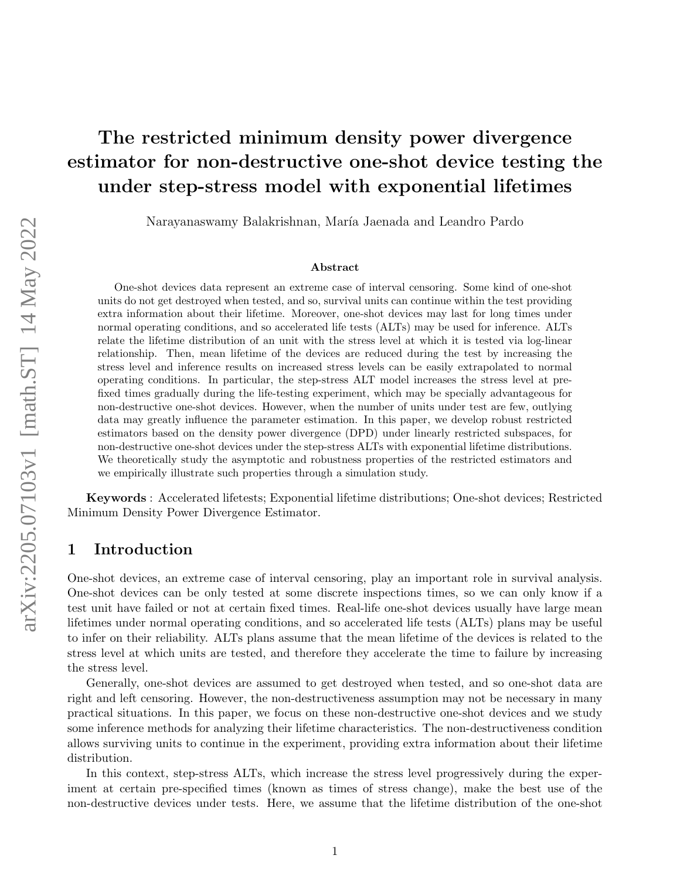# The restricted minimum density power divergence estimator for non-destructive one-shot device testing the under step-stress model with exponential lifetimes

Narayanaswamy Balakrishnan, María Jaenada and Leandro Pardo

#### Abstract

One-shot devices data represent an extreme case of interval censoring. Some kind of one-shot units do not get destroyed when tested, and so, survival units can continue within the test providing extra information about their lifetime. Moreover, one-shot devices may last for long times under normal operating conditions, and so accelerated life tests (ALTs) may be used for inference. ALTs relate the lifetime distribution of an unit with the stress level at which it is tested via log-linear relationship. Then, mean lifetime of the devices are reduced during the test by increasing the stress level and inference results on increased stress levels can be easily extrapolated to normal operating conditions. In particular, the step-stress ALT model increases the stress level at prefixed times gradually during the life-testing experiment, which may be specially advantageous for non-destructive one-shot devices. However, when the number of units under test are few, outlying data may greatly influence the parameter estimation. In this paper, we develop robust restricted estimators based on the density power divergence (DPD) under linearly restricted subspaces, for non-destructive one-shot devices under the step-stress ALTs with exponential lifetime distributions. We theoretically study the asymptotic and robustness properties of the restricted estimators and we empirically illustrate such properties through a simulation study.

Keywords : Accelerated lifetests; Exponential lifetime distributions; One-shot devices; Restricted Minimum Density Power Divergence Estimator.

## 1 Introduction

One-shot devices, an extreme case of interval censoring, play an important role in survival analysis. One-shot devices can be only tested at some discrete inspections times, so we can only know if a test unit have failed or not at certain fixed times. Real-life one-shot devices usually have large mean lifetimes under normal operating conditions, and so accelerated life tests (ALTs) plans may be useful to infer on their reliability. ALTs plans assume that the mean lifetime of the devices is related to the stress level at which units are tested, and therefore they accelerate the time to failure by increasing the stress level.

Generally, one-shot devices are assumed to get destroyed when tested, and so one-shot data are right and left censoring. However, the non-destructiveness assumption may not be necessary in many practical situations. In this paper, we focus on these non-destructive one-shot devices and we study some inference methods for analyzing their lifetime characteristics. The non-destructiveness condition allows surviving units to continue in the experiment, providing extra information about their lifetime distribution.

In this context, step-stress ALTs, which increase the stress level progressively during the experiment at certain pre-specified times (known as times of stress change), make the best use of the non-destructive devices under tests. Here, we assume that the lifetime distribution of the one-shot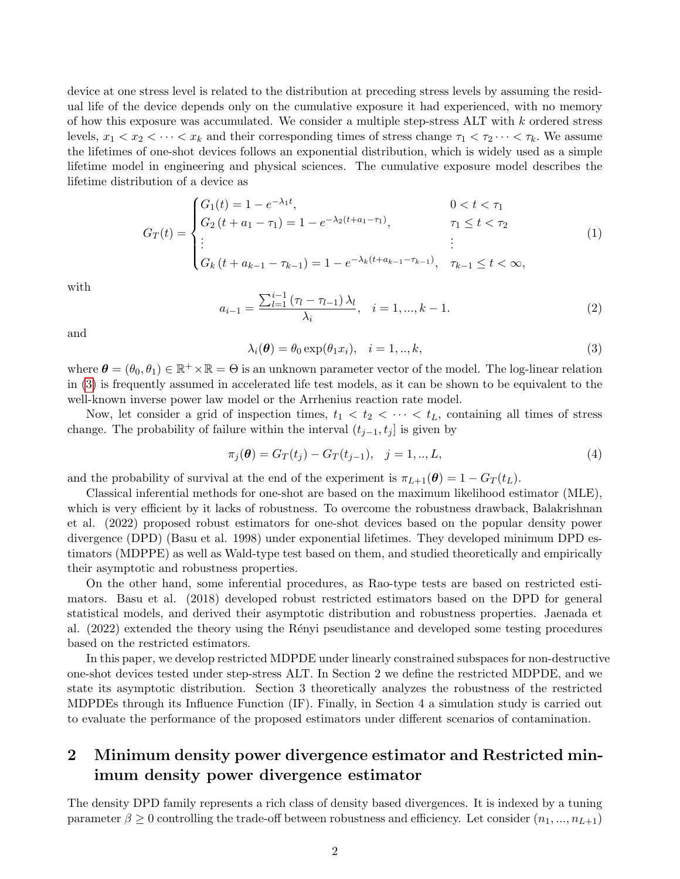device at one stress level is related to the distribution at preceding stress levels by assuming the residual life of the device depends only on the cumulative exposure it had experienced, with no memory of how this exposure was accumulated. We consider a multiple step-stress ALT with k ordered stress levels,  $x_1 < x_2 < \cdots < x_k$  and their corresponding times of stress change  $\tau_1 < \tau_2 \cdots < \tau_k$ . We assume the lifetimes of one-shot devices follows an exponential distribution, which is widely used as a simple lifetime model in engineering and physical sciences. The cumulative exposure model describes the lifetime distribution of a device as

$$
G_T(t) = \begin{cases} G_1(t) = 1 - e^{-\lambda_1 t}, & 0 < t < \tau_1 \\ G_2(t + a_1 - \tau_1) = 1 - e^{-\lambda_2(t + a_1 - \tau_1)}, & \tau_1 \le t < \tau_2 \\ \vdots & \vdots \\ G_k(t + a_{k-1} - \tau_{k-1}) = 1 - e^{-\lambda_k(t + a_{k-1} - \tau_{k-1})}, & \tau_{k-1} \le t < \infty, \end{cases}
$$
(1)

with

$$
a_{i-1} = \frac{\sum_{l=1}^{i-1} (\tau_l - \tau_{l-1}) \lambda_l}{\lambda_i}, \quad i = 1, ..., k-1.
$$
 (2)

and

<span id="page-1-0"></span>
$$
\lambda_i(\boldsymbol{\theta}) = \theta_0 \exp(\theta_1 x_i), \quad i = 1,..,k,
$$
\n(3)

where  $\theta = (\theta_0, \theta_1) \in \mathbb{R}^+ \times \mathbb{R} = \Theta$  is an unknown parameter vector of the model. The log-linear relation in [\(3\)](#page-1-0) is frequently assumed in accelerated life test models, as it can be shown to be equivalent to the well-known inverse power law model or the Arrhenius reaction rate model.

Now, let consider a grid of inspection times,  $t_1 < t_2 < \cdots < t_L$ , containing all times of stress change. The probability of failure within the interval  $(t_{j-1}, t_j]$  is given by

<span id="page-1-1"></span>
$$
\pi_j(\boldsymbol{\theta}) = G_T(t_j) - G_T(t_{j-1}), \quad j = 1, ..., L,
$$
\n(4)

and the probability of survival at the end of the experiment is  $\pi_{L+1}(\theta) = 1 - G_T(t_L)$ .

Classical inferential methods for one-shot are based on the maximum likelihood estimator (MLE), which is very efficient by it lacks of robustness. To overcome the robustness drawback, Balakrishnan et al. (2022) proposed robust estimators for one-shot devices based on the popular density power divergence (DPD) (Basu et al. 1998) under exponential lifetimes. They developed minimum DPD estimators (MDPPE) as well as Wald-type test based on them, and studied theoretically and empirically their asymptotic and robustness properties.

On the other hand, some inferential procedures, as Rao-type tests are based on restricted estimators. Basu et al. (2018) developed robust restricted estimators based on the DPD for general statistical models, and derived their asymptotic distribution and robustness properties. Jaenada et al. (2022) extended the theory using the Rényi pseudistance and developed some testing procedures based on the restricted estimators.

In this paper, we develop restricted MDPDE under linearly constrained subspaces for non-destructive one-shot devices tested under step-stress ALT. In Section 2 we define the restricted MDPDE, and we state its asymptotic distribution. Section 3 theoretically analyzes the robustness of the restricted MDPDEs through its Influence Function (IF). Finally, in Section 4 a simulation study is carried out to evaluate the performance of the proposed estimators under different scenarios of contamination.

# <span id="page-1-2"></span>2 Minimum density power divergence estimator and Restricted minimum density power divergence estimator

The density DPD family represents a rich class of density based divergences. It is indexed by a tuning parameter  $\beta \geq 0$  controlling the trade-off between robustness and efficiency. Let consider  $(n_1, ..., n_{L+1})$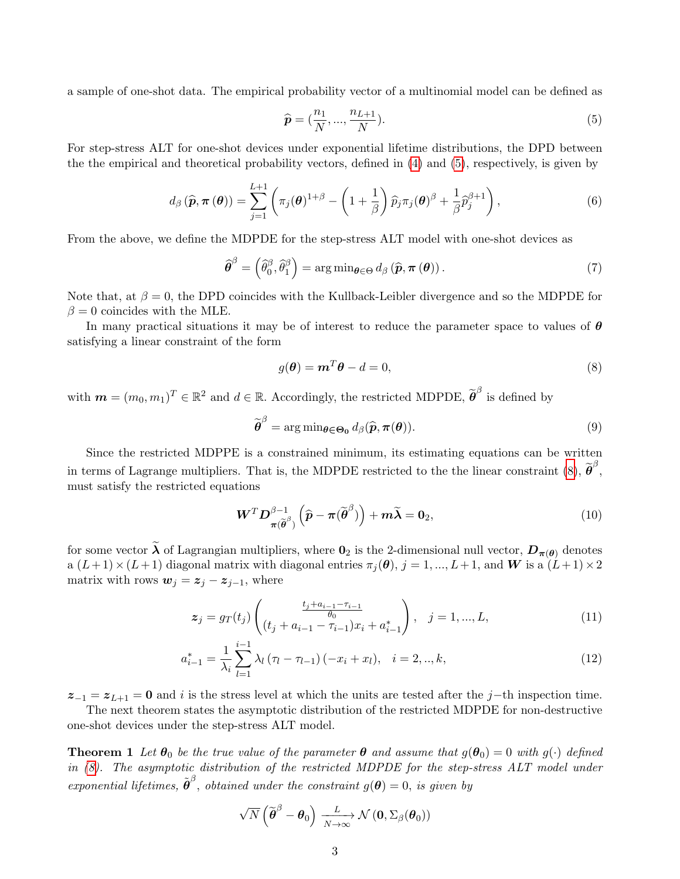a sample of one-shot data. The empirical probability vector of a multinomial model can be defined as

<span id="page-2-0"></span>
$$
\widehat{\mathbf{p}} = (\frac{n_1}{N}, ..., \frac{n_{L+1}}{N}).
$$
\n(5)

For step-stress ALT for one-shot devices under exponential lifetime distributions, the DPD between the the empirical and theoretical probability vectors, defined in [\(4\)](#page-1-1) and [\(5\)](#page-2-0), respectively, is given by

<span id="page-2-2"></span>
$$
d_{\beta}(\widehat{\boldsymbol{p}}, \boldsymbol{\pi}(\boldsymbol{\theta})) = \sum_{j=1}^{L+1} \left( \pi_j(\boldsymbol{\theta})^{1+\beta} - \left(1 + \frac{1}{\beta}\right) \widehat{p}_j \pi_j(\boldsymbol{\theta})^{\beta} + \frac{1}{\beta} \widehat{p}_j^{\beta+1} \right), \tag{6}
$$

From the above, we define the MDPDE for the step-stress ALT model with one-shot devices as

$$
\widehat{\boldsymbol{\theta}}^{\beta} = \left(\widehat{\theta}_0^{\beta}, \widehat{\theta}_1^{\beta}\right) = \arg\min_{\boldsymbol{\theta} \in \Theta} d_{\beta} \left(\widehat{\boldsymbol{p}}, \boldsymbol{\pi} \left(\boldsymbol{\theta}\right)\right). \tag{7}
$$

Note that, at  $\beta = 0$ , the DPD coincides with the Kullback-Leibler divergence and so the MDPDE for  $\beta = 0$  coincides with the MLE.

In many practical situations it may be of interest to reduce the parameter space to values of  $\theta$ satisfying a linear constraint of the form

<span id="page-2-1"></span>
$$
g(\boldsymbol{\theta}) = \boldsymbol{m}^T \boldsymbol{\theta} - d = 0,\tag{8}
$$

with  $\mathbf{m} = (m_0, m_1)^T \in \mathbb{R}^2$  and  $d \in \mathbb{R}$ . Accordingly, the restricted MDPDE,  $\widetilde{\boldsymbol{\theta}}^{\beta}$  is defined by

$$
\widetilde{\boldsymbol{\theta}}^{\beta} = \arg \min_{\boldsymbol{\theta} \in \Theta_0} d_{\beta}(\widehat{\boldsymbol{p}}, \boldsymbol{\pi}(\boldsymbol{\theta})).
$$
\n(9)

Since the restricted MDPPE is a constrained minimum, its estimating equations can be written in terms of Lagrange multipliers. That is, the MDPDE restricted to the the linear constraint [\(8\)](#page-2-1),  $\tilde{\boldsymbol{\theta}}^{\beta}$ , must satisfy the restricted equations

<span id="page-2-3"></span>
$$
\boldsymbol{W}^T \boldsymbol{D}_{\boldsymbol{\pi}(\widetilde{\boldsymbol{\theta}}^{\beta})}^{\beta-1} \left( \widehat{\boldsymbol{p}} - \boldsymbol{\pi}(\widetilde{\boldsymbol{\theta}}^{\beta}) \right) + \boldsymbol{m}\widetilde{\boldsymbol{\lambda}} = \mathbf{0}_2, \tag{10}
$$

for some vector  $\tilde{\lambda}$  of Lagrangian multipliers, where  $0_2$  is the 2-dimensional null vector,  $D_{\pi(\theta)}$  denotes  $a (L+1) \times (L+1)$  diagonal matrix with diagonal entries  $\pi_j(\theta), j = 1, ..., L+1$ , and W is a  $(L+1) \times 2$ matrix with rows  $w_j = z_j - z_{j-1}$ , where

$$
z_j = g_T(t_j) \begin{pmatrix} \frac{t_j + a_{i-1} - \tau_{i-1}}{\theta_0} \\ (t_j + a_{i-1} - \tau_{i-1}) x_i + a_{i-1}^* \end{pmatrix}, \quad j = 1, ..., L,
$$
 (11)

$$
a_{i-1}^* = \frac{1}{\lambda_i} \sum_{l=1}^{i-1} \lambda_l \left( \tau_l - \tau_{l-1} \right) \left( -x_i + x_l \right), \quad i = 2, ..., k,
$$
\n(12)

 $z_{-1} = z_{L+1} = 0$  and i is the stress level at which the units are tested after the j–th inspection time.

The next theorem states the asymptotic distribution of the restricted MDPDE for non-destructive one-shot devices under the step-stress ALT model.

**Theorem 1** Let  $\theta_0$  be the true value of the parameter  $\theta$  and assume that  $g(\theta_0) = 0$  with  $g(\cdot)$  defined in [\(8\)](#page-2-1). The asymptotic distribution of the restricted MDPDE for the step-stress ALT model under exponential lifetimes,  $\tilde{\boldsymbol{\theta}}^{\beta}$ , obtained under the constraint  $g(\boldsymbol{\theta}) = 0$ , is given by

$$
\sqrt{N}\left(\widetilde{\pmb{\theta}}^{\beta}-\pmb{\theta}_0\right)\xrightarrow[N\to\infty]{L} \mathcal{N}\left(\pmb{0}, \Sigma_{\beta}(\pmb{\theta}_0)\right)
$$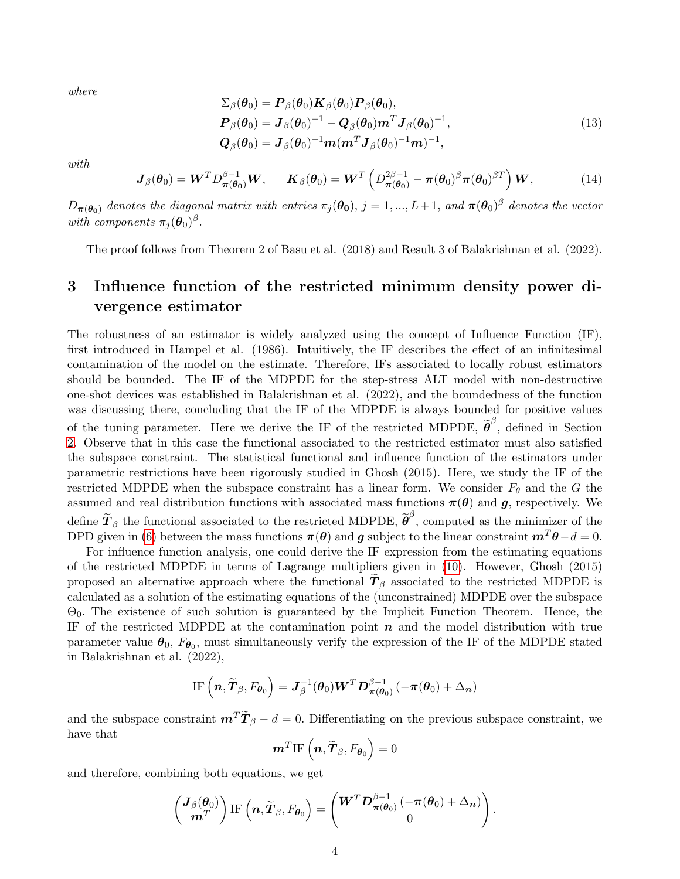where

<span id="page-3-1"></span>
$$
\Sigma_{\beta}(\boldsymbol{\theta}_{0}) = \boldsymbol{P}_{\beta}(\boldsymbol{\theta}_{0}) \boldsymbol{K}_{\beta}(\boldsymbol{\theta}_{0}) \boldsymbol{P}_{\beta}(\boldsymbol{\theta}_{0}),
$$
\n
$$
\boldsymbol{P}_{\beta}(\boldsymbol{\theta}_{0}) = \boldsymbol{J}_{\beta}(\boldsymbol{\theta}_{0})^{-1} - \boldsymbol{Q}_{\beta}(\boldsymbol{\theta}_{0}) \boldsymbol{m}^{T} \boldsymbol{J}_{\beta}(\boldsymbol{\theta}_{0})^{-1},
$$
\n
$$
\boldsymbol{Q}_{\beta}(\boldsymbol{\theta}_{0}) = \boldsymbol{J}_{\beta}(\boldsymbol{\theta}_{0})^{-1} \boldsymbol{m} (\boldsymbol{m}^{T} \boldsymbol{J}_{\beta}(\boldsymbol{\theta}_{0})^{-1} \boldsymbol{m})^{-1},
$$
\n(13)

with

<span id="page-3-0"></span>
$$
\boldsymbol{J}_{\beta}(\boldsymbol{\theta}_{0}) = \boldsymbol{W}^{T} D_{\boldsymbol{\pi}(\boldsymbol{\theta}_{0})}^{\beta-1} \boldsymbol{W}, \quad \boldsymbol{K}_{\beta}(\boldsymbol{\theta}_{0}) = \boldsymbol{W}^{T} \left( D_{\boldsymbol{\pi}(\boldsymbol{\theta}_{0})}^{2\beta-1} - \boldsymbol{\pi}(\boldsymbol{\theta}_{0})^{\beta} \boldsymbol{\pi}(\boldsymbol{\theta}_{0})^{\beta T} \right) \boldsymbol{W}, \quad (14)
$$

 $D_{\bm{\pi}(\bm{\theta_0})}$  denotes the diagonal matrix with entries  $\pi_j(\bm{\theta_0}),\,j=1,...,L+1,$  and  $\bm{\pi}(\bm{\theta_0})^{\beta}$  denotes the vector with components  $\pi_j(\boldsymbol{\theta}_0)^{\beta}$ .

The proof follows from Theorem 2 of Basu et al. (2018) and Result 3 of Balakrishnan et al. (2022).

# 3 Influence function of the restricted minimum density power divergence estimator

The robustness of an estimator is widely analyzed using the concept of Influence Function (IF), first introduced in Hampel et al. (1986). Intuitively, the IF describes the effect of an infinitesimal contamination of the model on the estimate. Therefore, IFs associated to locally robust estimators should be bounded. The IF of the MDPDE for the step-stress ALT model with non-destructive one-shot devices was established in Balakrishnan et al. (2022), and the boundedness of the function was discussing there, concluding that the IF of the MDPDE is always bounded for positive values of the tuning parameter. Here we derive the IF of the restricted MDPDE,  $\tilde{\boldsymbol{\theta}}^{\beta}$ , defined in Section [2.](#page-1-2) Observe that in this case the functional associated to the restricted estimator must also satisfied the subspace constraint. The statistical functional and influence function of the estimators under parametric restrictions have been rigorously studied in Ghosh (2015). Here, we study the IF of the restricted MDPDE when the subspace constraint has a linear form. We consider  $F_{\theta}$  and the G the assumed and real distribution functions with associated mass functions  $\pi(\theta)$  and  $g$ , respectively. We define  $\tilde{T}_{\beta}$  the functional associated to the restricted MDPDE,  $\tilde{\theta}^{\beta}$ , computed as the minimizer of the DPD given in [\(6\)](#page-2-2) between the mass functions  $\pi(\theta)$  and g subject to the linear constraint  $m^T\theta - d = 0$ .

For influence function analysis, one could derive the IF expression from the estimating equations of the restricted MDPDE in terms of Lagrange multipliers given in [\(10\)](#page-2-3). However, Ghosh (2015) proposed an alternative approach where the functional  $T_\beta$  associated to the restricted MDPDE is calculated as a solution of the estimating equations of the (unconstrained) MDPDE over the subspace Θ0. The existence of such solution is guaranteed by the Implicit Function Theorem. Hence, the IF of the restricted MDPDE at the contamination point  $n$  and the model distribution with true parameter value  $\theta_0$ ,  $F_{\theta_0}$ , must simultaneously verify the expression of the IF of the MDPDE stated in Balakrishnan et al. (2022),

$$
\text{IF}\left(\boldsymbol{n}, \widetilde{\boldsymbol{T}}_{\beta}, F_{\boldsymbol{\theta}_0}\right) = \boldsymbol{J}_{\beta}^{-1}(\boldsymbol{\theta}_0) \boldsymbol{W}^T \boldsymbol{D}_{\boldsymbol{\pi}(\boldsymbol{\theta}_0)}^{\beta-1} \left(-\boldsymbol{\pi}(\boldsymbol{\theta}_0) + \Delta_{\boldsymbol{n}}\right)
$$

and the subspace constraint  $\mathbf{m}^T \widetilde{\mathbf{T}}_{\beta} - d = 0$ . Differentiating on the previous subspace constraint, we have that

$$
\boldsymbol{m}^{T}\text{IF}\left(\boldsymbol{n},\widetilde{\boldsymbol{T}}_{\beta},F_{\boldsymbol{\theta}_{0}}\right)=0
$$

and therefore, combining both equations, we get

$$
\begin{pmatrix} \boldsymbol{J}_{\beta}(\boldsymbol{\theta}_0) \\ \boldsymbol{m}^T \end{pmatrix} \text{IF} \left( \boldsymbol{n}, \widetilde{\boldsymbol{T}}_{\beta}, F_{\boldsymbol{\theta}_0} \right) = \begin{pmatrix} \boldsymbol{W}^T \boldsymbol{D}_{\boldsymbol{\pi}(\boldsymbol{\theta}_0)}^{\beta-1} \left( -\boldsymbol{\pi}(\boldsymbol{\theta}_0) + \Delta_{\boldsymbol{n}} \right) \\ 0 \end{pmatrix}
$$

.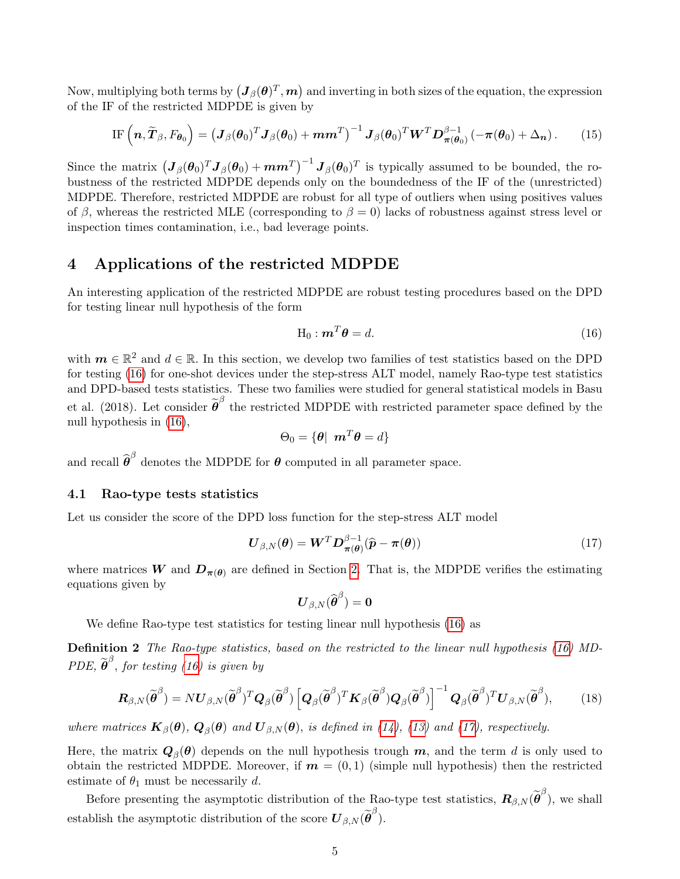Now, multiplying both terms by  $(\bm{J}_\beta(\bm{\theta})^T,\bm{m})$  and inverting in both sizes of the equation, the expression of the IF of the restricted MDPDE is given by

IF 
$$
(\boldsymbol{n}, \widetilde{\boldsymbol{T}}_{\beta}, F_{\boldsymbol{\theta}_0}) = (\boldsymbol{J}_{\beta}(\boldsymbol{\theta}_0)^T \boldsymbol{J}_{\beta}(\boldsymbol{\theta}_0) + \boldsymbol{m}\boldsymbol{m}^T)^{-1} \boldsymbol{J}_{\beta}(\boldsymbol{\theta}_0)^T \boldsymbol{W}^T \boldsymbol{D}_{\boldsymbol{\pi}(\boldsymbol{\theta}_0)}^{\beta-1} (-\boldsymbol{\pi}(\boldsymbol{\theta}_0) + \Delta_{\boldsymbol{n}}).
$$
 (15)

Since the matrix  $(\bm{J}_{\beta}(\bm{\theta}_0)^T \bm{J}_{\beta}(\bm{\theta}_0) + \bm{m}\bm{m}^T)^{-1} \bm{J}_{\beta}(\bm{\theta}_0)^T$  is typically assumed to be bounded, the robustness of the restricted MDPDE depends only on the boundedness of the IF of the (unrestricted) MDPDE. Therefore, restricted MDPDE are robust for all type of outliers when using positives values of β, whereas the restricted MLE (corresponding to  $\beta = 0$ ) lacks of robustness against stress level or inspection times contamination, i.e., bad leverage points.

## 4 Applications of the restricted MDPDE

An interesting application of the restricted MDPDE are robust testing procedures based on the DPD for testing linear null hypothesis of the form

<span id="page-4-0"></span>
$$
\mathbf{H}_0 : \mathbf{m}^T \boldsymbol{\theta} = d. \tag{16}
$$

with  $m \in \mathbb{R}^2$  and  $d \in \mathbb{R}$ . In this section, we develop two families of test statistics based on the DPD for testing [\(16\)](#page-4-0) for one-shot devices under the step-stress ALT model, namely Rao-type test statistics and DPD-based tests statistics. These two families were studied for general statistical models in Basu et al. (2018). Let consider  $\tilde{\boldsymbol{\theta}}^{\beta}$  the restricted MDPDE with restricted parameter space defined by the null hypothesis in [\(16\)](#page-4-0),

$$
\Theta_0 = \{\boldsymbol{\theta} | \ \boldsymbol{m}^T \boldsymbol{\theta} = d \}
$$

and recall  $\widehat{\boldsymbol{\theta}}^{\beta}$  denotes the MDPDE for  $\boldsymbol{\theta}$  computed in all parameter space.

#### 4.1 Rao-type tests statistics

Let us consider the score of the DPD loss function for the step-stress ALT model

<span id="page-4-1"></span>
$$
\boldsymbol{U}_{\beta,N}(\boldsymbol{\theta}) = \boldsymbol{W}^T \boldsymbol{D}_{\boldsymbol{\pi}(\boldsymbol{\theta})}^{\beta-1} (\widehat{\boldsymbol{p}} - \boldsymbol{\pi}(\boldsymbol{\theta})) \tag{17}
$$

where matrices W and  $D_{\pi(\theta)}$  are defined in Section [2.](#page-1-2) That is, the MDPDE verifies the estimating equations given by

<span id="page-4-3"></span>
$$
\boldsymbol{U}_{\beta,N}(\widehat{\boldsymbol{\theta}}^{\beta})=\boldsymbol{0}
$$

We define Rao-type test statistics for testing linear null hypothesis [\(16\)](#page-4-0) as

Definition 2 The Rao-type statistics, based on the restricted to the linear null hypothesis [\(16\)](#page-4-0) MD-PDE,  $\widetilde{\boldsymbol{\theta}}^{\beta}$ , for testing [\(16\)](#page-4-0) is given by

<span id="page-4-2"></span>
$$
\boldsymbol{R}_{\beta,N}(\widetilde{\boldsymbol{\theta}}^{\beta}) = N \boldsymbol{U}_{\beta,N}(\widetilde{\boldsymbol{\theta}}^{\beta})^T \boldsymbol{Q}_{\beta}(\widetilde{\boldsymbol{\theta}}^{\beta}) \left[ \boldsymbol{Q}_{\beta}(\widetilde{\boldsymbol{\theta}}^{\beta})^T \boldsymbol{K}_{\beta}(\widetilde{\boldsymbol{\theta}}^{\beta}) \boldsymbol{Q}_{\beta}(\widetilde{\boldsymbol{\theta}}^{\beta}) \right]^{-1} \boldsymbol{Q}_{\beta}(\widetilde{\boldsymbol{\theta}}^{\beta})^T \boldsymbol{U}_{\beta,N}(\widetilde{\boldsymbol{\theta}}^{\beta}), \qquad (18)
$$

where matrices  $\mathbf{K}_{\beta}(\theta)$ ,  $\mathbf{Q}_{\beta}(\theta)$  and  $\mathbf{U}_{\beta,N}(\theta)$ , is defined in [\(14\)](#page-3-0), [\(13\)](#page-3-1) and [\(17\)](#page-4-1), respectively.

Here, the matrix  $\mathbf{Q}_{\beta}(\theta)$  depends on the null hypothesis trough  $\bm{m}$ , and the term  $d$  is only used to obtain the restricted MDPDE. Moreover, if  $m = (0, 1)$  (simple null hypothesis) then the restricted estimate of  $\theta_1$  must be necessarily d.

Before presenting the asymptotic distribution of the Rao-type test statistics,  $\mathbf{R}_{\beta,N}(\tilde{\boldsymbol{\theta}}^{\beta})$ , we shall establish the asymptotic distribution of the score  $\boldsymbol{U}_{\beta,N}(\widetilde{\boldsymbol{\theta}}^{\beta}).$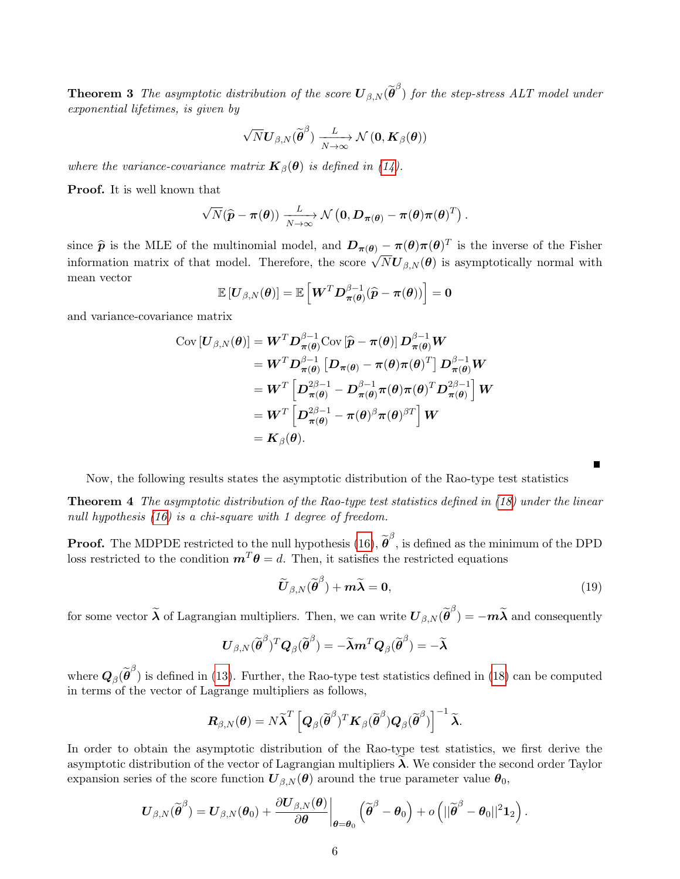**Theorem 3** The asymptotic distribution of the score  $\boldsymbol{U}_{\beta,N}(\widetilde{\boldsymbol{\theta}}^{\beta})$  for the step-stress ALT model under exponential lifetimes, is given by

$$
\sqrt{N}\boldsymbol{U}_{\beta,N}(\widetilde{\boldsymbol{\theta}}^{\beta})\xrightarrow[N\to\infty]{L}{\mathcal{N}\left(\boldsymbol{0},\boldsymbol{K}_{\beta}(\boldsymbol{\theta})\right)}
$$

where the variance-covariance matrix  $\mathbf{K}_{\beta}(\boldsymbol{\theta})$  is defined in [\(14\)](#page-3-0).

Proof. It is well known that

$$
\sqrt{N}(\widehat{\boldsymbol{p}}-\boldsymbol{\pi}(\boldsymbol{\theta}))\xrightarrow[N\to\infty]{L}\mathcal{N}\left(\boldsymbol{0},\boldsymbol{D}_{\boldsymbol{\pi}(\boldsymbol{\theta})}-\boldsymbol{\pi}(\boldsymbol{\theta})\boldsymbol{\pi}(\boldsymbol{\theta})^T\right).
$$

since  $\hat{p}$  is the MLE of the multinomial model, and  $D_{\pi(\theta)} - \pi(\theta)\pi(\theta)^T$  is the inverse of the Fisher information matrix of that model. Therefore, the score  $\sqrt{N}U_{\beta,N}(\theta)$  is asymptotically normal with mean vector

$$
\mathbb{E}\left[\boldsymbol{U}_{\beta,N}(\boldsymbol{\theta})\right] = \mathbb{E}\left[\boldsymbol{W}^T\boldsymbol{D}_{\boldsymbol{\pi}(\boldsymbol{\theta})}^{\beta-1}(\widehat{\boldsymbol{p}}-\boldsymbol{\pi}(\boldsymbol{\theta}))\right] = \boldsymbol{0}
$$

and variance-covariance matrix

$$
\begin{split} \text{Cov}\left[\boldsymbol{U}_{\beta,N}(\boldsymbol{\theta})\right] &= \boldsymbol{W}^T \boldsymbol{D}_{\boldsymbol{\pi}(\boldsymbol{\theta})}^{\beta-1} \text{Cov}\left[\widehat{\boldsymbol{p}}-\boldsymbol{\pi}(\boldsymbol{\theta})\right] \boldsymbol{D}_{\boldsymbol{\pi}(\boldsymbol{\theta})}^{\beta-1} \boldsymbol{W} \\ &= \boldsymbol{W}^T \boldsymbol{D}_{\boldsymbol{\pi}(\boldsymbol{\theta})}^{\beta-1} \left[\boldsymbol{D}_{\boldsymbol{\pi}(\boldsymbol{\theta})}-\boldsymbol{\pi}(\boldsymbol{\theta})\boldsymbol{\pi}(\boldsymbol{\theta})^T\right] \boldsymbol{D}_{\boldsymbol{\pi}(\boldsymbol{\theta})}^{\beta-1} \boldsymbol{W} \\ &= \boldsymbol{W}^T \left[\boldsymbol{D}_{\boldsymbol{\pi}(\boldsymbol{\theta})}^{2\beta-1} - \boldsymbol{D}_{\boldsymbol{\pi}(\boldsymbol{\theta})}^{\beta-1} \boldsymbol{\pi}(\boldsymbol{\theta}) \boldsymbol{\pi}(\boldsymbol{\theta})^T \boldsymbol{D}_{\boldsymbol{\pi}(\boldsymbol{\theta})}^{2\beta-1}\right] \boldsymbol{W} \\ &= \boldsymbol{W}^T \left[\boldsymbol{D}_{\boldsymbol{\pi}(\boldsymbol{\theta})}^{2\beta-1} - \boldsymbol{\pi}(\boldsymbol{\theta})^{\beta} \boldsymbol{\pi}(\boldsymbol{\theta})^{\beta T}\right] \boldsymbol{W} \\ &= \boldsymbol{K}_{\beta}(\boldsymbol{\theta}). \end{split}
$$

Now, the following results states the asymptotic distribution of the Rao-type test statistics

Theorem 4 The asymptotic distribution of the Rao-type test statistics defined in [\(18\)](#page-4-2) under the linear null hypothesis [\(16\)](#page-4-0) is a chi-square with 1 degree of freedom.

**Proof.** The MDPDE restricted to the null hypothesis  $(16)$ ,  $\tilde{\boldsymbol{\theta}}^{\beta}$ , is defined as the minimum of the DPD loss restricted to the condition  $\mathbf{m}^T \theta = d$ . Then, it satisfies the restricted equations

<span id="page-5-1"></span><span id="page-5-0"></span>
$$
\widetilde{\boldsymbol{U}}_{\beta,N}(\widetilde{\boldsymbol{\theta}}^{\beta}) + \boldsymbol{m}\widetilde{\boldsymbol{\lambda}} = \mathbf{0},\tag{19}
$$

for some vector  $\widetilde{\lambda}$  of Lagrangian multipliers. Then, we can write  $\bm{U}_{\beta,N}(\widetilde{\bm{\theta}}^{\beta}) = -m\widetilde{\lambda}$  and consequently

$$
\boldsymbol{U}_{\beta,N}(\widetilde{\boldsymbol{\theta}}^{\beta})^T\boldsymbol{Q}_{\beta}(\widetilde{\boldsymbol{\theta}}^{\beta})=-\widetilde{\boldsymbol{\lambda}}\boldsymbol{m}^T\boldsymbol{Q}_{\beta}(\widetilde{\boldsymbol{\theta}}^{\beta})=-\widetilde{\boldsymbol{\lambda}}
$$

where  $\mathbf{Q}_{\beta}(\tilde{\boldsymbol{\theta}}^{\beta})$  is defined in [\(13\)](#page-3-1). Further, the Rao-type test statistics defined in [\(18\)](#page-4-2) can be computed in terms of the vector of Lagrange multipliers as follows,

$$
\boldsymbol{R}_{\beta,N}(\boldsymbol{\theta}) = N\widetilde{\boldsymbol{\lambda}}^T \left[ \boldsymbol{Q}_{\beta}(\widetilde{\boldsymbol{\theta}}^{\beta})^T \boldsymbol{K}_{\beta}(\widetilde{\boldsymbol{\theta}}^{\beta}) \boldsymbol{Q}_{\beta}(\widetilde{\boldsymbol{\theta}}^{\beta}) \right]^{-1} \widetilde{\boldsymbol{\lambda}}.
$$

In order to obtain the asymptotic distribution of the Rao-type test statistics, we first derive the asymptotic distribution of the vector of Lagrangian multipliers  $\lambda$ . We consider the second order Taylor expansion series of the score function  $U_{\beta,N}(\theta)$  around the true parameter value  $\theta_0$ ,

$$
\boldsymbol{U}_{\beta,N}(\widetilde{\boldsymbol{\theta}}^\beta) = \boldsymbol{U}_{\beta,N}(\boldsymbol{\theta}_0) + \frac{\partial \boldsymbol{U}_{\beta,N}(\boldsymbol{\theta})}{\partial \boldsymbol{\theta}}\bigg|_{\boldsymbol{\theta}=\boldsymbol{\theta}_0}\left(\widetilde{\boldsymbol{\theta}}^\beta - \boldsymbol{\theta}_0\right) + o\left(||\widetilde{\boldsymbol{\theta}}^\beta - \boldsymbol{\theta}_0||^2\boldsymbol{1}_2\right).
$$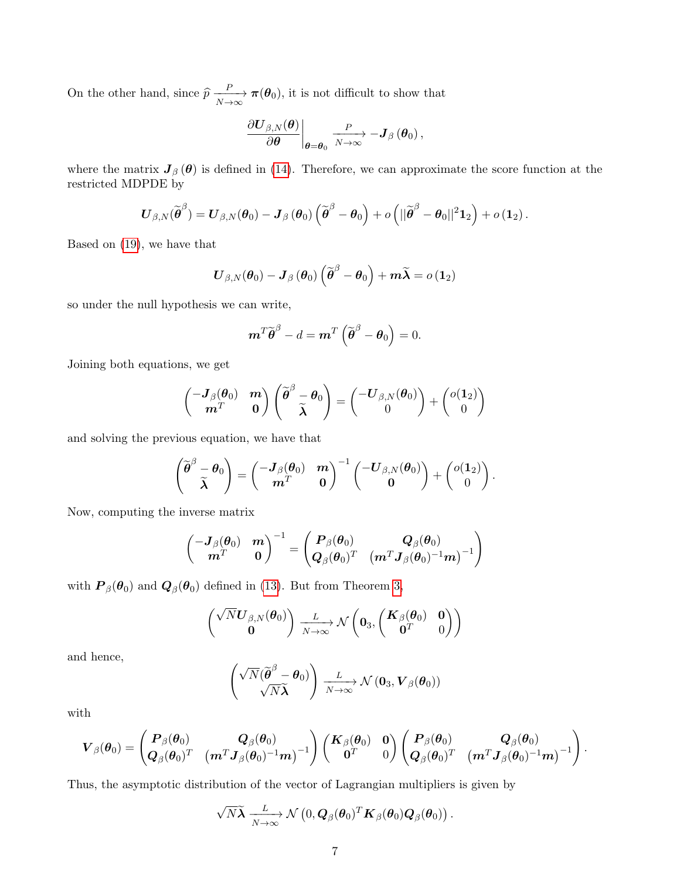On the other hand, since  $\hat{p} \xrightarrow[N \to \infty]{P} \pi(\theta_0)$ , it is not difficult to show that

$$
\left.\frac{\partial \boldsymbol{U}_{\beta,N}(\boldsymbol{\theta})}{\partial \boldsymbol{\theta}}\right|_{\boldsymbol{\theta}=\boldsymbol{\theta}_0} \xrightarrow[N\to\infty]{P} -\boldsymbol{J}_{\beta}(\boldsymbol{\theta}_0),
$$

where the matrix  $J_{\beta}(\theta)$  is defined in [\(14\)](#page-3-0). Therefore, we can approximate the score function at the restricted MDPDE by

$$
\boldsymbol{U}_{\beta,N}(\widetilde{\boldsymbol{\theta}}^\beta) = \boldsymbol{U}_{\beta,N}(\boldsymbol{\theta}_0) - \boldsymbol{J}_\beta\left(\boldsymbol{\theta}_0\right)\left(\widetilde{\boldsymbol{\theta}}^\beta - \boldsymbol{\theta}_0\right) + o\left(||\widetilde{\boldsymbol{\theta}}^\beta - \boldsymbol{\theta}_0||^2\boldsymbol{1}_2\right) + o\left(\boldsymbol{1}_2\right).
$$

Based on [\(19\)](#page-5-0), we have that

$$
\boldsymbol{U}_{\beta,N}(\boldsymbol{\theta}_0)-\boldsymbol{J}_{\beta}\left(\boldsymbol{\theta}_0\right)\left(\widetilde{\boldsymbol{\theta}}^{\beta}-\boldsymbol{\theta}_0\right)+m\widetilde{\boldsymbol{\lambda}}=o\left(1_2\right)
$$

so under the null hypothesis we can write,

$$
\boldsymbol{m}^T \widetilde{\boldsymbol{\theta}}^{\beta} - d = \boldsymbol{m}^T \left( \widetilde{\boldsymbol{\theta}}^{\beta} - \boldsymbol{\theta}_0 \right) = 0.
$$

Joining both equations, we get

$$
\begin{pmatrix} -\boldsymbol{J}_{\beta}(\boldsymbol{\theta}_0) & \boldsymbol{m} \\ \boldsymbol{m}^T & \boldsymbol{0} \end{pmatrix} \begin{pmatrix} \widetilde{\boldsymbol{\theta}}^{\beta} - \boldsymbol{\theta}_0 \\ \widetilde{\boldsymbol{\lambda}} \end{pmatrix} = \begin{pmatrix} -\boldsymbol{U}_{\beta,N}(\boldsymbol{\theta}_0) \\ 0 \end{pmatrix} + \begin{pmatrix} o(1_2) \\ 0 \end{pmatrix}
$$

and solving the previous equation, we have that

$$
\begin{pmatrix} \widetilde{\boldsymbol{\theta}}^{\beta} - \boldsymbol{\theta}_0 \\ \widetilde{\boldsymbol{\lambda}} \end{pmatrix} = \begin{pmatrix} -\boldsymbol{J}_{\beta}(\boldsymbol{\theta}_0) & \boldsymbol{m} \\ \boldsymbol{m}^T & \boldsymbol{0} \end{pmatrix}^{-1} \begin{pmatrix} -\boldsymbol{U}_{\beta,N}(\boldsymbol{\theta}_0) \\ \boldsymbol{0} \end{pmatrix} + \begin{pmatrix} o(1_2) \\ 0 \end{pmatrix}.
$$

Now, computing the inverse matrix

$$
\begin{pmatrix} -\boldsymbol{J}_{\beta}(\boldsymbol{\theta}_0) & \boldsymbol{m} \\ \boldsymbol{m}^T & \boldsymbol{0} \end{pmatrix}^{-1} = \begin{pmatrix} \boldsymbol{P}_{\beta}(\boldsymbol{\theta}_0) & \boldsymbol{Q}_{\beta}(\boldsymbol{\theta}_0) \\ \boldsymbol{Q}_{\beta}(\boldsymbol{\theta}_0)^T & \left( \boldsymbol{m}^T \boldsymbol{J}_{\beta}(\boldsymbol{\theta}_0)^{-1} \boldsymbol{m} \right)^{-1} \end{pmatrix}
$$

with  $P_{\beta}(\theta_0)$  and  $Q_{\beta}(\theta_0)$  defined in [\(13\)](#page-3-1). But from Theorem [3,](#page-4-3)

$$
\begin{pmatrix} \sqrt{N}\boldsymbol{U}_{\beta,N}(\boldsymbol{\theta}_0) \\ \boldsymbol{0} \end{pmatrix} \xrightarrow[N\to\infty]{L} \mathcal{N}\begin{pmatrix} \boldsymbol{0}_3, \begin{pmatrix} \boldsymbol{K}_{\beta}(\boldsymbol{\theta}_0) & \boldsymbol{0} \\ \boldsymbol{0}^T & 0 \end{pmatrix} \end{pmatrix}
$$

and hence,

$$
\begin{pmatrix}\sqrt{N}(\widetilde{\boldsymbol{\theta}}^{\beta}-\boldsymbol{\theta}_0)\\ \sqrt{N}\widetilde{\boldsymbol{\lambda}}\end{pmatrix} \xrightarrow[N\to\infty]{L} \mathcal{N}(\boldsymbol{0}_3,\boldsymbol{V}_{\beta}(\boldsymbol{\theta}_0))
$$

with

$$
\boldsymbol{V}_{\beta}(\boldsymbol{\theta}_0) = \begin{pmatrix} \boldsymbol{P}_{\beta}(\boldsymbol{\theta}_0) & \boldsymbol{Q}_{\beta}(\boldsymbol{\theta}_0) \\ \boldsymbol{Q}_{\beta}(\boldsymbol{\theta}_0)^T & \left(\boldsymbol{m}^T\boldsymbol{J}_{\beta}(\boldsymbol{\theta}_0)^{-1}\boldsymbol{m}\right)^{-1} \end{pmatrix} \begin{pmatrix} \boldsymbol{K}_{\beta}(\boldsymbol{\theta}_0) & \boldsymbol{0} \\ \boldsymbol{0}^T & 0 \end{pmatrix} \begin{pmatrix} \boldsymbol{P}_{\beta}(\boldsymbol{\theta}_0) & \boldsymbol{Q}_{\beta}(\boldsymbol{\theta}_0) \\ \boldsymbol{Q}_{\beta}(\boldsymbol{\theta}_0)^T & \left(\boldsymbol{m}^T\boldsymbol{J}_{\beta}(\boldsymbol{\theta}_0)^{-1}\boldsymbol{m}\right)^{-1} \end{pmatrix}.
$$

Thus, the asymptotic distribution of the vector of Lagrangian multipliers is given by

$$
\sqrt{N} \widetilde{\boldsymbol{\lambda}} \xrightarrow[N \to \infty]{L} \mathcal{N}\left(0, \boldsymbol{Q}_{\beta}(\boldsymbol{\theta}_0)^T \boldsymbol{K}_{\beta}(\boldsymbol{\theta}_0) \boldsymbol{Q}_{\beta}(\boldsymbol{\theta}_0)\right).
$$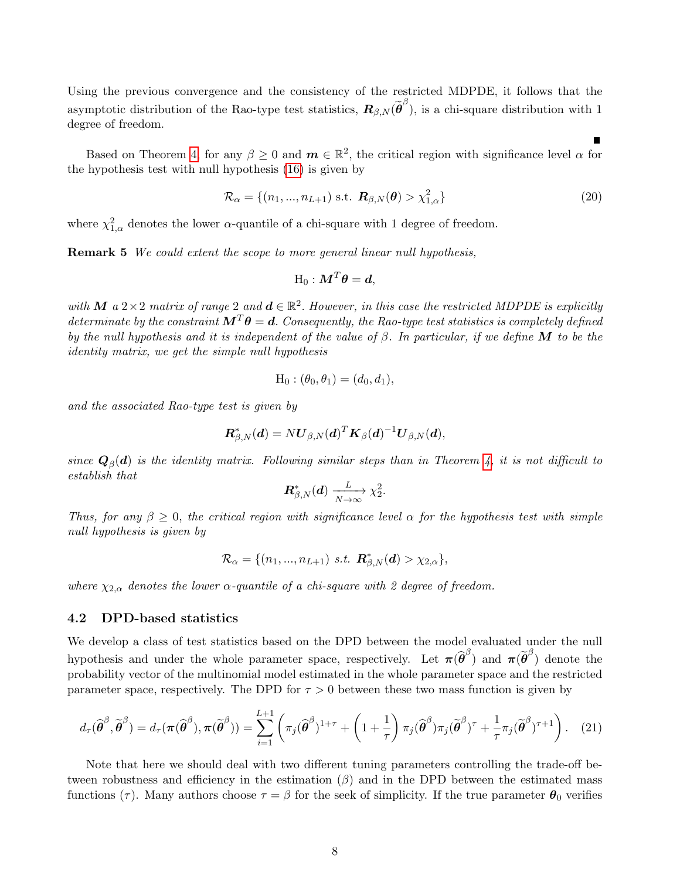Using the previous convergence and the consistency of the restricted MDPDE, it follows that the asymptotic distribution of the Rao-type test statistics,  $\mathbf{R}_{\beta,N}(\tilde{\boldsymbol{\theta}}^{\beta})$ , is a chi-square distribution with 1 degree of freedom.

Based on Theorem [4,](#page-5-1) for any  $\beta \geq 0$  and  $m \in \mathbb{R}^2$ , the critical region with significance level  $\alpha$  for the hypothesis test with null hypothesis [\(16\)](#page-4-0) is given by

$$
\mathcal{R}_{\alpha} = \{(n_1, \ldots, n_{L+1}) \text{ s.t. } \mathbf{R}_{\beta, N}(\boldsymbol{\theta}) > \chi^2_{1, \alpha}\}\
$$
\n(20)

where  $\chi^2_{1,\alpha}$  denotes the lower  $\alpha$ -quantile of a chi-square with 1 degree of freedom.

**Remark 5** We could extent the scope to more general linear null hypothesis,

$$
\text{H}_0: \boldsymbol{M}^T \boldsymbol{\theta} = \boldsymbol{d},
$$

with M a 2 × 2 matrix of range 2 and  $d \in \mathbb{R}^2$ . However, in this case the restricted MDPDE is explicitly determinate by the constraint  $M^T\theta = d$ . Consequently, the Rao-type test statistics is completely defined by the null hypothesis and it is independent of the value of  $\beta$ . In particular, if we define M to be the identity matrix, we get the simple null hypothesis

$$
H_0: (\theta_0, \theta_1) = (d_0, d_1),
$$

and the associated Rao-type test is given by

$$
\boldsymbol{R}^*_{\beta,N}(\boldsymbol{d})=N\boldsymbol{U}_{\beta,N}(\boldsymbol{d})^T\boldsymbol{K}_{\beta}(\boldsymbol{d})^{-1}\boldsymbol{U}_{\beta,N}(\boldsymbol{d}),
$$

since  $\mathbf{Q}_{\beta}(\boldsymbol{d})$  is the identity matrix. Following similar steps than in Theorem [4,](#page-5-1) it is not difficult to establish that

$$
\mathbf{R}_{\beta,N}^*(\mathbf{d}) \xrightarrow[N \to \infty]{L} \chi_2^2.
$$

Thus, for any  $\beta \geq 0$ , the critical region with significance level  $\alpha$  for the hypothesis test with simple null hypothesis is given by

$$
\mathcal{R}_{\alpha} = \{ (n_1, ..., n_{L+1}) \text{ s.t. } \mathbf{R}^*_{\beta, N}(\mathbf{d}) > \chi_{2,\alpha} \},
$$

where  $\chi_{2,\alpha}$  denotes the lower  $\alpha$ -quantile of a chi-square with 2 degree of freedom.

#### 4.2 DPD-based statistics

We develop a class of test statistics based on the DPD between the model evaluated under the null hypothesis and under the whole parameter space, respectively. Let  $\pi(\hat{\theta}^{\beta})$  and  $\pi(\tilde{\theta}^{\beta})$  denote the probability vector of the multinomial model estimated in the whole parameter space and the restricted parameter space, respectively. The DPD for  $\tau > 0$  between these two mass function is given by

<span id="page-7-0"></span>
$$
d_{\tau}(\widehat{\boldsymbol{\theta}}^{\beta}, \widetilde{\boldsymbol{\theta}}^{\beta}) = d_{\tau}(\boldsymbol{\pi}(\widehat{\boldsymbol{\theta}}^{\beta}), \boldsymbol{\pi}(\widetilde{\boldsymbol{\theta}}^{\beta})) = \sum_{i=1}^{L+1} \left( \pi_j(\widehat{\boldsymbol{\theta}}^{\beta})^{1+\tau} + \left( 1 + \frac{1}{\tau} \right) \pi_j(\widehat{\boldsymbol{\theta}}^{\beta}) \pi_j(\widetilde{\boldsymbol{\theta}}^{\beta})^{\tau} + \frac{1}{\tau} \pi_j(\widetilde{\boldsymbol{\theta}}^{\beta})^{\tau+1} \right). \tag{21}
$$

Note that here we should deal with two different tuning parameters controlling the trade-off between robustness and efficiency in the estimation  $(\beta)$  and in the DPD between the estimated mass functions (τ). Many authors choose  $\tau = \beta$  for the seek of simplicity. If the true parameter  $\theta_0$  verifies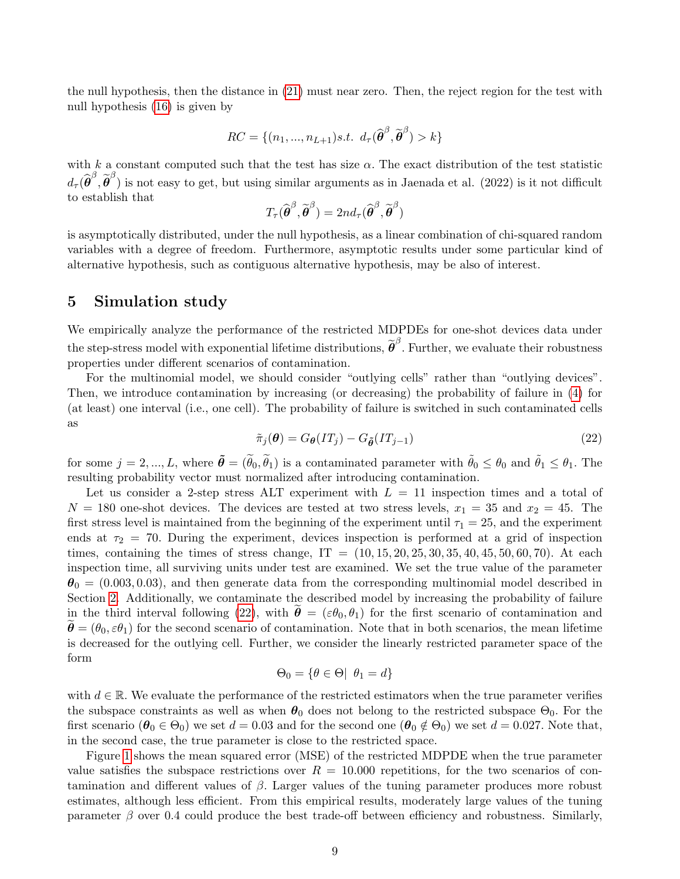the null hypothesis, then the distance in [\(21\)](#page-7-0) must near zero. Then, the reject region for the test with null hypothesis [\(16\)](#page-4-0) is given by

$$
RC = \{(n_1, ..., n_{L+1})s.t. d_{\tau}(\widehat{\boldsymbol{\theta}}^{\beta}, \widetilde{\boldsymbol{\theta}}^{\beta}) > k\}
$$

with k a constant computed such that the test has size  $\alpha$ . The exact distribution of the test statistic  $d_{\tau}(\hat{\boldsymbol{\theta}}^{\beta}, \tilde{\boldsymbol{\theta}}^{\beta})$  is not easy to get, but using similar arguments as in Jaenada et al. (2022) is it not difficult to establish that

$$
T_{\tau}(\widehat{\boldsymbol{\theta}}^{\beta}, \widetilde{\boldsymbol{\theta}}^{\beta}) = 2n d_{\tau}(\widehat{\boldsymbol{\theta}}^{\beta}, \widetilde{\boldsymbol{\theta}}^{\beta})
$$

is asymptotically distributed, under the null hypothesis, as a linear combination of chi-squared random variables with a degree of freedom. Furthermore, asymptotic results under some particular kind of alternative hypothesis, such as contiguous alternative hypothesis, may be also of interest.

### 5 Simulation study

We empirically analyze the performance of the restricted MDPDEs for one-shot devices data under the step-stress model with exponential lifetime distributions,  $\tilde{\boldsymbol{\theta}}^{\beta}$ . Further, we evaluate their robustness properties under different scenarios of contamination.

For the multinomial model, we should consider "outlying cells" rather than "outlying devices". Then, we introduce contamination by increasing (or decreasing) the probability of failure in [\(4\)](#page-1-1) for (at least) one interval (i.e., one cell). The probability of failure is switched in such contaminated cells as

<span id="page-8-0"></span>
$$
\tilde{\pi}_j(\boldsymbol{\theta}) = G_{\boldsymbol{\theta}}(IT_j) - G_{\tilde{\boldsymbol{\theta}}}(IT_{j-1})
$$
\n(22)

for some  $j = 2, ..., L$ , where  $\tilde{\boldsymbol{\theta}} = (\tilde{\theta}_0, \tilde{\theta}_1)$  is a contaminated parameter with  $\tilde{\theta}_0 \leq \theta_0$  and  $\tilde{\theta}_1 \leq \theta_1$ . The resulting probability vector must normalized after introducing contamination.

Let us consider a 2-step stress ALT experiment with  $L = 11$  inspection times and a total of  $N = 180$  one-shot devices. The devices are tested at two stress levels,  $x_1 = 35$  and  $x_2 = 45$ . The first stress level is maintained from the beginning of the experiment until  $\tau_1 = 25$ , and the experiment ends at  $\tau_2$  = 70. During the experiment, devices inspection is performed at a grid of inspection times, containing the times of stress change,  $IT = (10, 15, 20, 25, 30, 35, 40, 45, 50, 60, 70)$ . At each inspection time, all surviving units under test are examined. We set the true value of the parameter  $\theta_0 = (0.003, 0.03)$ , and then generate data from the corresponding multinomial model described in Section [2.](#page-1-2) Additionally, we contaminate the described model by increasing the probability of failure in the third interval following [\(22\)](#page-8-0), with  $\theta = (\varepsilon \theta_0, \theta_1)$  for the first scenario of contamination and  $\theta = (\theta_0, \varepsilon \theta_1)$  for the second scenario of contamination. Note that in both scenarios, the mean lifetime is decreased for the outlying cell. Further, we consider the linearly restricted parameter space of the form

$$
\Theta_0 = \{ \theta \in \Theta \mid \theta_1 = d \}
$$

with  $d \in \mathbb{R}$ . We evaluate the performance of the restricted estimators when the true parameter verifies the subspace constraints as well as when  $\theta_0$  does not belong to the restricted subspace  $\Theta_0$ . For the first scenario  $(\theta_0 \in \Theta_0)$  we set  $d = 0.03$  and for the second one  $(\theta_0 \notin \Theta_0)$  we set  $d = 0.027$ . Note that, in the second case, the true parameter is close to the restricted space.

Figure [1](#page-9-0) shows the mean squared error (MSE) of the restricted MDPDE when the true parameter value satisfies the subspace restrictions over  $R = 10.000$  repetitions, for the two scenarios of contamination and different values of  $\beta$ . Larger values of the tuning parameter produces more robust estimates, although less efficient. From this empirical results, moderately large values of the tuning parameter  $\beta$  over 0.4 could produce the best trade-off between efficiency and robustness. Similarly,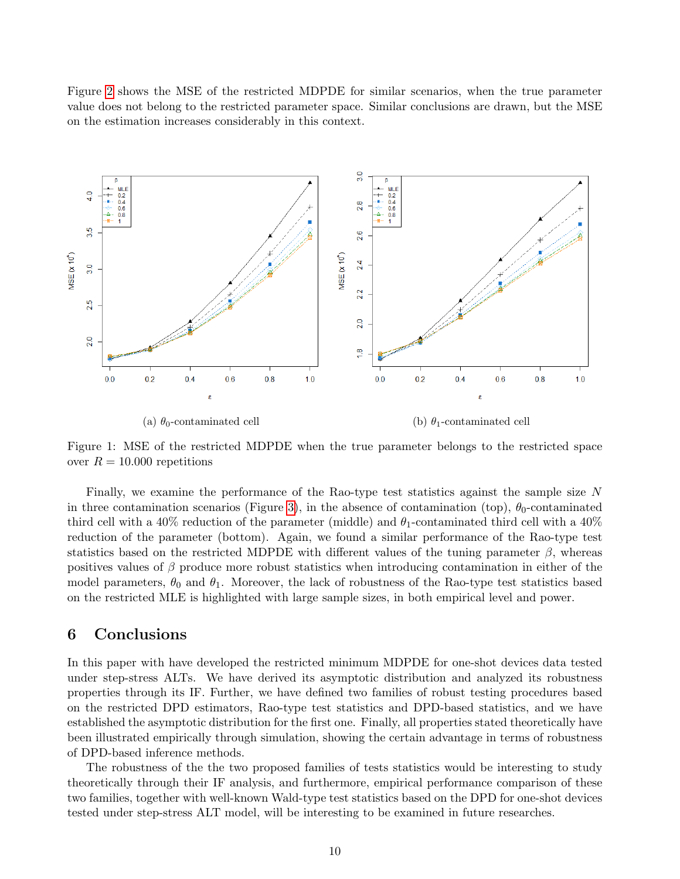Figure [2](#page-10-0) shows the MSE of the restricted MDPDE for similar scenarios, when the true parameter value does not belong to the restricted parameter space. Similar conclusions are drawn, but the MSE on the estimation increases considerably in this context.

<span id="page-9-0"></span>

Figure 1: MSE of the restricted MDPDE when the true parameter belongs to the restricted space over  $R = 10.000$  repetitions

Finally, we examine the performance of the Rao-type test statistics against the sample size N in three contamination scenarios (Figure [3\)](#page-11-0), in the absence of contamination (top),  $\theta_0$ -contaminated third cell with a 40% reduction of the parameter (middle) and  $\theta_1$ -contaminated third cell with a 40% reduction of the parameter (bottom). Again, we found a similar performance of the Rao-type test statistics based on the restricted MDPDE with different values of the tuning parameter  $\beta$ , whereas positives values of  $\beta$  produce more robust statistics when introducing contamination in either of the model parameters,  $\theta_0$  and  $\theta_1$ . Moreover, the lack of robustness of the Rao-type test statistics based on the restricted MLE is highlighted with large sample sizes, in both empirical level and power.

### 6 Conclusions

In this paper with have developed the restricted minimum MDPDE for one-shot devices data tested under step-stress ALTs. We have derived its asymptotic distribution and analyzed its robustness properties through its IF. Further, we have defined two families of robust testing procedures based on the restricted DPD estimators, Rao-type test statistics and DPD-based statistics, and we have established the asymptotic distribution for the first one. Finally, all properties stated theoretically have been illustrated empirically through simulation, showing the certain advantage in terms of robustness of DPD-based inference methods.

The robustness of the the two proposed families of tests statistics would be interesting to study theoretically through their IF analysis, and furthermore, empirical performance comparison of these two families, together with well-known Wald-type test statistics based on the DPD for one-shot devices tested under step-stress ALT model, will be interesting to be examined in future researches.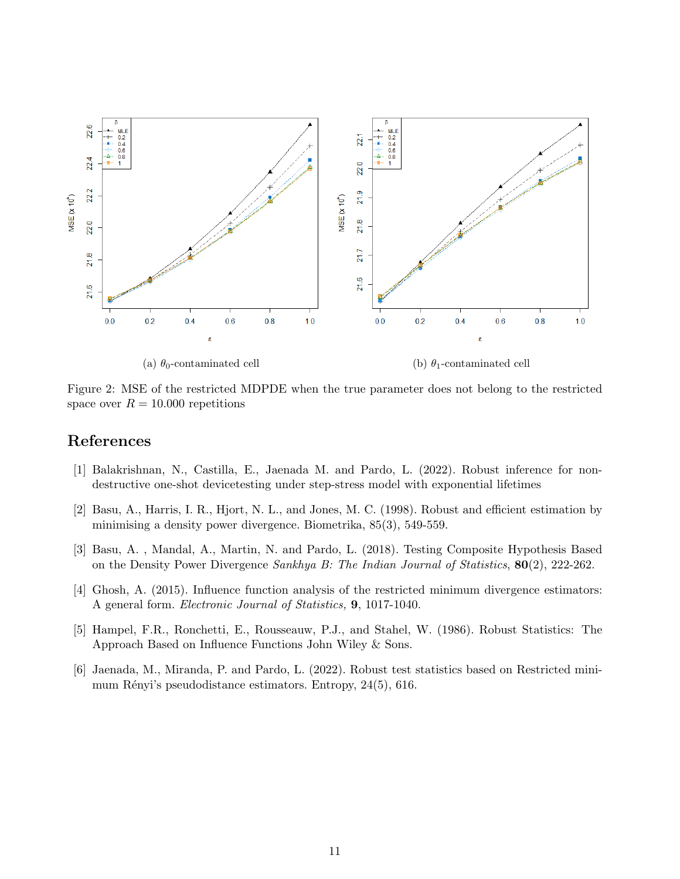<span id="page-10-0"></span>

Figure 2: MSE of the restricted MDPDE when the true parameter does not belong to the restricted space over  $R = 10.000$  repetitions

# References

- [1] Balakrishnan, N., Castilla, E., Jaenada M. and Pardo, L. (2022). Robust inference for nondestructive one-shot devicetesting under step-stress model with exponential lifetimes
- [2] Basu, A., Harris, I. R., Hjort, N. L., and Jones, M. C. (1998). Robust and efficient estimation by minimising a density power divergence. Biometrika, 85(3), 549-559.
- [3] Basu, A. , Mandal, A., Martin, N. and Pardo, L. (2018). Testing Composite Hypothesis Based on the Density Power Divergence Sankhya B: The Indian Journal of Statistics, 80(2), 222-262.
- [4] Ghosh, A. (2015). Influence function analysis of the restricted minimum divergence estimators: A general form. Electronic Journal of Statistics, 9, 1017-1040.
- [5] Hampel, F.R., Ronchetti, E., Rousseauw, P.J., and Stahel, W. (1986). Robust Statistics: The Approach Based on Influence Functions John Wiley & Sons.
- [6] Jaenada, M., Miranda, P. and Pardo, L. (2022). Robust test statistics based on Restricted minimum Rényi's pseudodistance estimators. Entropy,  $24(5)$ , 616.